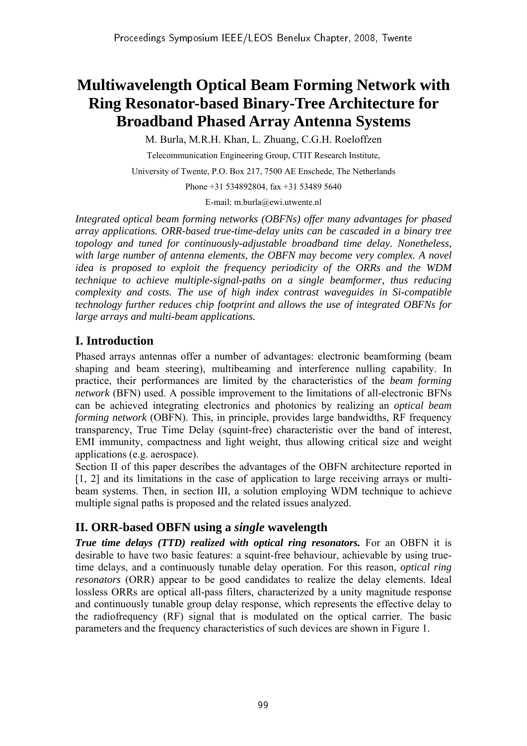# **Multiwavelength Optical Beam Forming Network with Ring Resonator-based Binary-Tree Architecture for Broadband Phased Array Antenna Systems**

M. Burla, M.R.H. Khan, L. Zhuang, C.G.H. Roeloffzen

Telecommunication Engineering Group, CTIT Research Institute,

University of Twente, P.O. Box 217, 7500 AE Enschede, The Netherlands

Phone +31 534892804, fax +31 53489 5640

E-mail: m.burla@ewi.utwente.nl

*Integrated optical beam forming networks (OBFNs) offer many advantages for phased array applications. ORR-based true-time-delay units can be cascaded in a binary tree topology and tuned for continuously-adjustable broadband time delay. Nonetheless,*  with large number of antenna elements, the OBFN may become very complex. A novel *idea is proposed to exploit the frequency periodicity of the ORRs and the WDM technique to achieve multiple-signal-paths on a single beamformer, thus reducing complexity and costs. The use of high index contrast waveguides in Si-compatible technology further reduces chip footprint and allows the use of integrated OBFNs for large arrays and multi-beam applications.* 

## **I. Introduction**

Phased arrays antennas offer a number of advantages: electronic beamforming (beam shaping and beam steering), multibeaming and interference nulling capability. In practice, their performances are limited by the characteristics of the *beam forming network* (BFN) used. A possible improvement to the limitations of all-electronic BFNs can be achieved integrating electronics and photonics by realizing an *optical beam forming network* (OBFN). This, in principle, provides large bandwidths, RF frequency transparency, True Time Delay (squint-free) characteristic over the band of interest, EMI immunity, compactness and light weight, thus allowing critical size and weight applications (e.g. aerospace).

Section II of this paper describes the advantages of the OBFN architecture reported in [1, 2] and its limitations in the case of application to large receiving arrays or multibeam systems. Then, in section III, a solution employing WDM technique to achieve multiple signal paths is proposed and the related issues analyzed.

### **II. ORR-based OBFN using a** *single* **wavelength**

*True time delays (TTD) realized with optical ring resonators.* For an OBFN it is desirable to have two basic features: a squint-free behaviour, achievable by using truetime delays, and a continuously tunable delay operation. For this reason, *optical ring resonators* (ORR) appear to be good candidates to realize the delay elements. Ideal lossless ORRs are optical all-pass filters, characterized by a unity magnitude response and continuously tunable group delay response, which represents the effective delay to the radiofrequency (RF) signal that is modulated on the optical carrier. The basic parameters and the frequency characteristics of such devices are shown in Figure 1.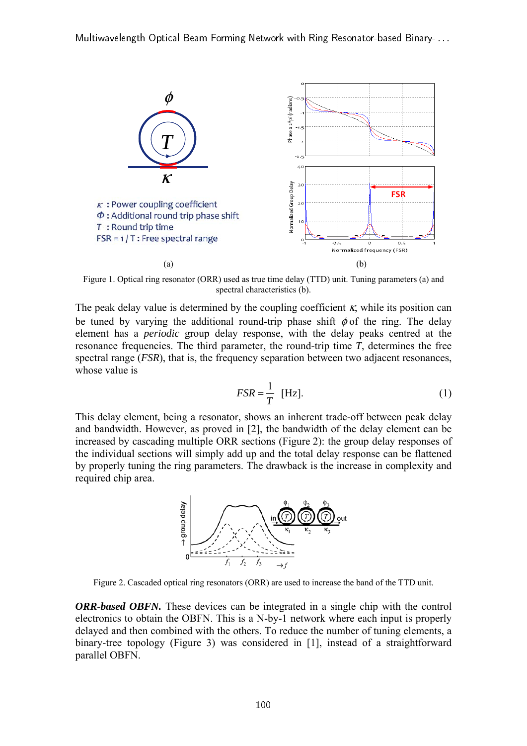

Figure 1. Optical ring resonator (ORR) used as true time delay (TTD) unit. Tuning parameters (a) and spectral characteristics (b).

The peak delay value is determined by the coupling coefficient  $\kappa$ , while its position can be tuned by varying the additional round-trip phase shift  $\phi$  of the ring. The delay element has a *periodic* group delay response, with the delay peaks centred at the resonance frequencies. The third parameter, the round-trip time *T*, determines the free spectral range *(FSR)*, that is, the frequency separation between two adjacent resonances, whose value is

$$
FSR = \frac{1}{T} \text{ [Hz]}.
$$
 (1)

This delay element, being a resonator, shows an inherent trade-off between peak delay and bandwidth. However, as proved in [2], the bandwidth of the delay element can be increased by cascading multiple ORR sections (Figure 2): the group delay responses of the individual sections will simply add up and the total delay response can be flattened by properly tuning the ring parameters. The drawback is the increase in complexity and required chip area.



Figure 2. Cascaded optical ring resonators (ORR) are used to increase the band of the TTD unit.

*ORR-based OBFN.* These devices can be integrated in a single chip with the control electronics to obtain the OBFN. This is a N-by-1 network where each input is properly delayed and then combined with the others. To reduce the number of tuning elements, a binary-tree topology (Figure 3) was considered in [1], instead of a straightforward parallel OBFN.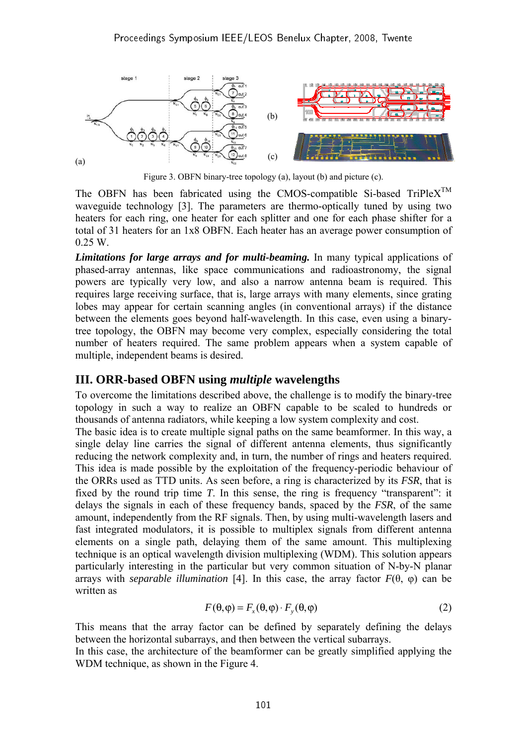

Figure 3. OBFN binary-tree topology (a), layout (b) and picture (c).

The OBFN has been fabricated using the CMOS-compatible Si-based  $TriPlex^{TM}$ waveguide technology [3]. The parameters are thermo-optically tuned by using two heaters for each ring, one heater for each splitter and one for each phase shifter for a total of 31 heaters for an 1x8 OBFN. Each heater has an average power consumption of 0.25 W.

*Limitations for large arrays and for multi-beaming.* In many typical applications of phased-array antennas, like space communications and radioastronomy, the signal powers are typically very low, and also a narrow antenna beam is required. This requires large receiving surface, that is, large arrays with many elements, since grating lobes may appear for certain scanning angles (in conventional arrays) if the distance between the elements goes beyond half-wavelength. In this case, even using a binarytree topology, the OBFN may become very complex, especially considering the total number of heaters required. The same problem appears when a system capable of multiple, independent beams is desired.

#### **III. ORR-based OBFN using** *multiple* **wavelengths**

To overcome the limitations described above, the challenge is to modify the binary-tree topology in such a way to realize an OBFN capable to be scaled to hundreds or thousands of antenna radiators, while keeping a low system complexity and cost.

The basic idea is to create multiple signal paths on the same beamformer. In this way, a single delay line carries the signal of different antenna elements, thus significantly reducing the network complexity and, in turn, the number of rings and heaters required. This idea is made possible by the exploitation of the frequency-periodic behaviour of the ORRs used as TTD units. As seen before, a ring is characterized by its *FSR*, that is fixed by the round trip time *T*. In this sense, the ring is frequency "transparent": it delays the signals in each of these frequency bands, spaced by the *FSR*, of the same amount, independently from the RF signals. Then, by using multi-wavelength lasers and fast integrated modulators, it is possible to multiplex signals from different antenna elements on a single path, delaying them of the same amount. This multiplexing technique is an optical wavelength division multiplexing (WDM). This solution appears particularly interesting in the particular but very common situation of N-by-N planar arrays with *separable illumination* [4]. In this case, the array factor *F*(θ, φ) can be written as

$$
F(\theta, \varphi) = F_x(\theta, \varphi) \cdot F_y(\theta, \varphi)
$$
 (2)

This means that the array factor can be defined by separately defining the delays between the horizontal subarrays, and then between the vertical subarrays.

In this case, the architecture of the beamformer can be greatly simplified applying the WDM technique, as shown in the Figure 4.